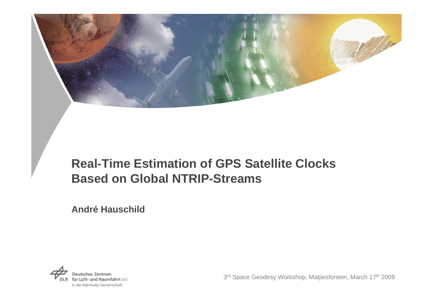

## **Real-Time Estimation of GPS Satellite Clocks Based on Global NTRIP-Streams**

**André Hauschild**



3rd Space Geodesy Workshop, Matjiesfontein, March 17th 2009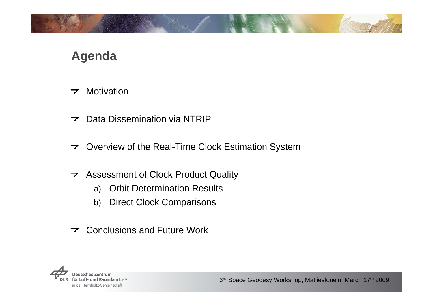## **Agenda**

- **Motivation**  $\overline{\phantom{a}}$
- Data Dissemination via NTRIP $\overline{\phantom{a}}$
- ▼ Overview of the Real-Time Clock Estimation System
- **7** Assessment of Clock Product Quality
	- a) Orbit Determination Results
	- b) Direct Clock Comparisons
- **T** Conclusions and Future Work

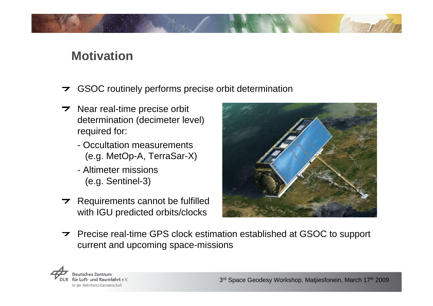### **Motivation**

- GSOC routinely performs precise orbit determination
- $\triangleright$  Near real-time precise orbit determination (decimeter level) required for:
	- Occultation measurements (e.g. MetOp-A, TerraSar-X)
	- Altimeter missions (e.g. Sentinel-3)
- $\triangleright$  Requirements cannot be fulfilled with IGU predicted orbits/clocks



**Precise real-time GPS clock estimation established at GSOC to support** current and upcoming space-missions

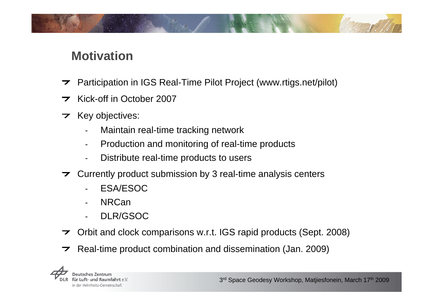## **Motivation**

- Participation in IGS Real-Time Pilot Project (www.rtigs.net/pilot)  $\overline{\phantom{a}}$
- Kick-off in October 20077
- $\triangleright$  Key objectives:
	- Maintain real-time tracking network
	- Production and monitoring of real-time products
	- Distribute real-time products to users
- $\triangleright$  Currently product submission by 3 real-time analysis centers
	- ESA/ESOC
	- **NRCan**
	- DLR/GSOC
- Orbit and clock comparisons w.r.t. IGS rapid products (Sept. 2008)
- Real-time product combination and dissemination (Jan. 2009) $\overline{\phantom{a}}$

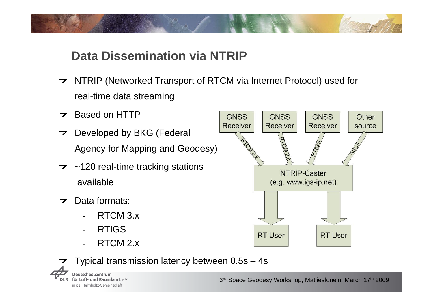# **Data Dissemination via NTRIP**

- NTRIP (Networked Transport of RTCM via Internet Protocol) used for real-time data streaming
- **Based on HTTP**
- **Developed by BKG (Federal** Agency for Mapping and Geodesy)
- $\overline{z}$  ~120 real-time tracking stations available
- Data formats: $\overline{ }$ 
	- RTCM 3.x
	- RTIGS
	- RTCM 2.x



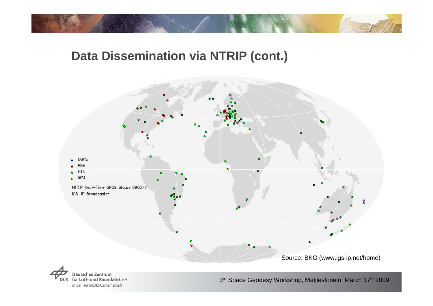## **Data Dissemination via NTRIP (cont.)**





3rd Space Geodesy Workshop, Matjiesfonein, March 17th 2009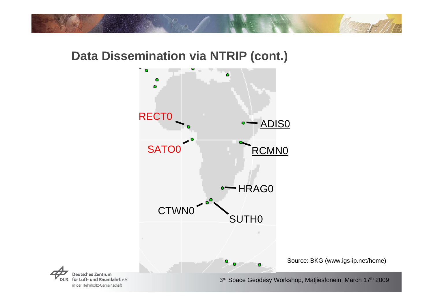### **Data Dissemination via NTRIP (cont.)**





3rd Space Geodesy Workshop, Matjiesfonein, March 17th 2009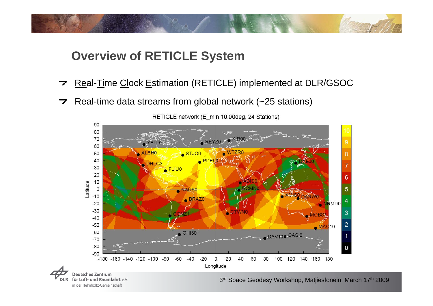## **Overview of RETICLE System**

in der Helmholtz-Gemeinschaft

- Real-Time Clock Estimation (RETICLE) implemented at DLR/GSOC  $\overline{\phantom{a}}$
- $\triangleright$  Real-time data streams from global network (~25 stations)



RETICLE network (E min 10.00deg, 24 Stations)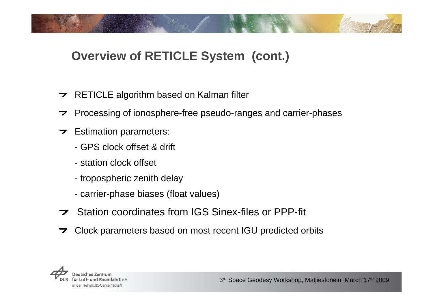## **Overview of RETICLE System (cont.)**

- $\triangleright$  RETICLE algorithm based on Kalman filter
- $\triangleright$  Processing of ionosphere-free pseudo-ranges and carrier-phases
- $\triangleright$  Estimation parameters:
	- GPS clock offset & drift
	- station clock offset
	- tropospheric zenith delay
	- carrier-phase biases (float values)
- Station coordinates from IGS Sinex-files or PPP-fit
- Clock parameters based on most recent IGU predicted orbits**7**

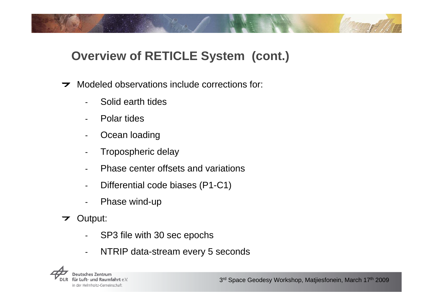# **Overview of RETICLE System (cont.)**

- Modeled observations include corrections for:  $\overline{\phantom{a}}$ 
	- Solid earth tides
	- Polar tides
	- Ocean loading
	- Tropospheric delay
	- Phase center offsets and variations
	- Differential code biases (P1-C1)
	- Phase wind-up
- Output:  $\overline{\phantom{a}}$ 
	- SP3 file with 30 sec epochs
	- $\blacksquare$ NTRIP data-stream every 5 seconds

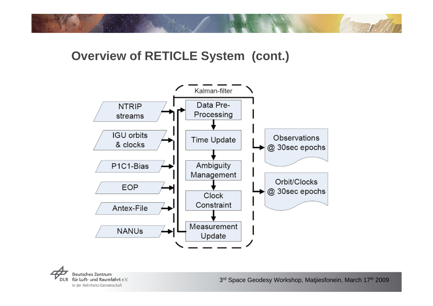### **Overview of RETICLE System (cont.)**



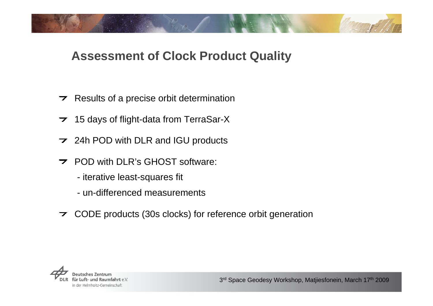## **Assessment of Clock Product Quality**

- $\triangleright$  Results of a precise orbit determination
- **7** 15 days of flight-data from TerraSar-X
- **24h POD with DLR and IGU products**
- **POD with DLR's GHOST software:** 
	- iterative least-squares fit
	- un-differenced measurements
- CODE products (30s clocks) for reference orbit generation

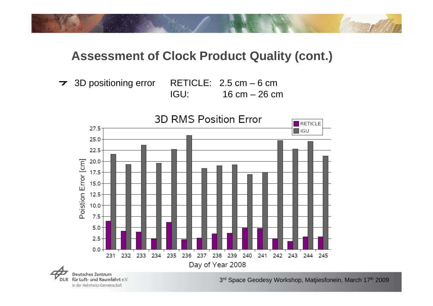3D positioning error RETICLE: 2.5 cm – 6 cm

IGU: 16 cm – 26 cm





3rd Space Geodesy Workshop, Matjiesfonein, March 17th 2009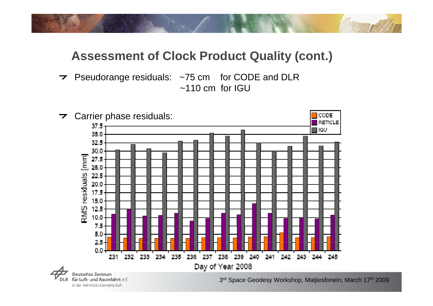Pseudorange residuals: ~75 cm for CODE and DLR  $\sim$ 110 cm for IGU



für Luft- und Raumfahrt e.V. in der Helmholtz-Gemeinschaft

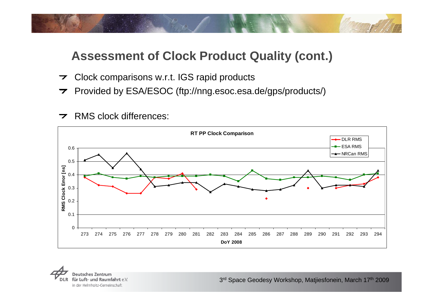- Clock comparisons w.r.t. IGS rapid products  $\overline{\phantom{a}}$
- Provided by ESA/ESOC (ftp://nng.esoc.esa.de/gps/products/)
- **7** RMS clock differences:



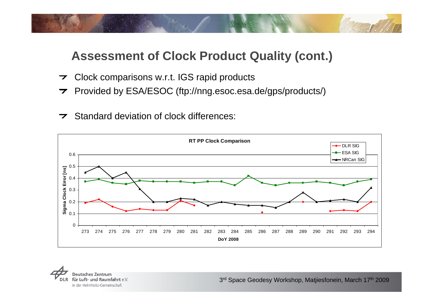- Clock comparisons w.r.t. IGS rapid products  $\overline{\phantom{a}}$
- Provided by ESA/ESOC (ftp://nng.esoc.esa.de/gps/products/)
- $\triangleright$  Standard deviation of clock differences: